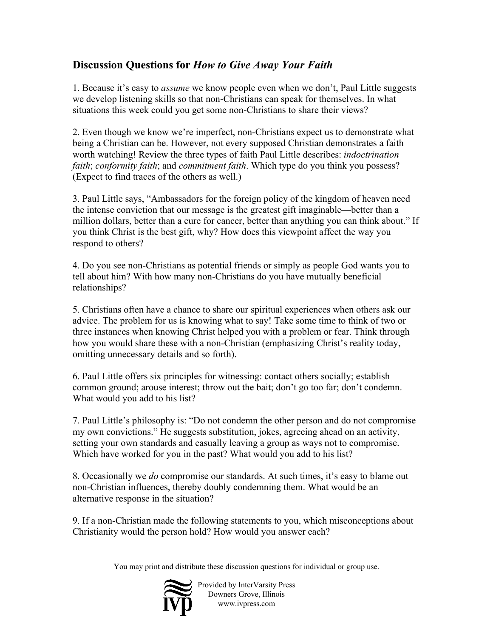## **Discussion Questions for** *How to Give Away Your Faith*

1. Because it's easy to *assume* we know people even when we don't, Paul Little suggests we develop listening skills so that non-Christians can speak for themselves. In what situations this week could you get some non-Christians to share their views?

2. Even though we know we're imperfect, non-Christians expect us to demonstrate what being a Christian can be. However, not every supposed Christian demonstrates a faith worth watching! Review the three types of faith Paul Little describes: *indoctrination faith*; *conformity faith*; and *commitment faith*. Which type do you think you possess? (Expect to find traces of the others as well.)

3. Paul Little says, "Ambassadors for the foreign policy of the kingdom of heaven need the intense conviction that our message is the greatest gift imaginable—better than a million dollars, better than a cure for cancer, better than anything you can think about." If you think Christ is the best gift, why? How does this viewpoint affect the way you respond to others?

4. Do you see non-Christians as potential friends or simply as people God wants you to tell about him? With how many non-Christians do you have mutually beneficial relationships?

5. Christians often have a chance to share our spiritual experiences when others ask our advice. The problem for us is knowing what to say! Take some time to think of two or three instances when knowing Christ helped you with a problem or fear. Think through how you would share these with a non-Christian (emphasizing Christ's reality today, omitting unnecessary details and so forth).

6. Paul Little offers six principles for witnessing: contact others socially; establish common ground; arouse interest; throw out the bait; don't go too far; don't condemn. What would you add to his list?

7. Paul Little's philosophy is: "Do not condemn the other person and do not compromise my own convictions." He suggests substitution, jokes, agreeing ahead on an activity, setting your own standards and casually leaving a group as ways not to compromise. Which have worked for you in the past? What would you add to his list?

8. Occasionally we *do* compromise our standards. At such times, it's easy to blame out non-Christian influences, thereby doubly condemning them. What would be an alternative response in the situation?

9. If a non-Christian made the following statements to you, which misconceptions about Christianity would the person hold? How would you answer each?

You may print and distribute these discussion questions for individual or group use.



Provided by InterVarsity Press Downers Grove, Illinois www.ivpress.com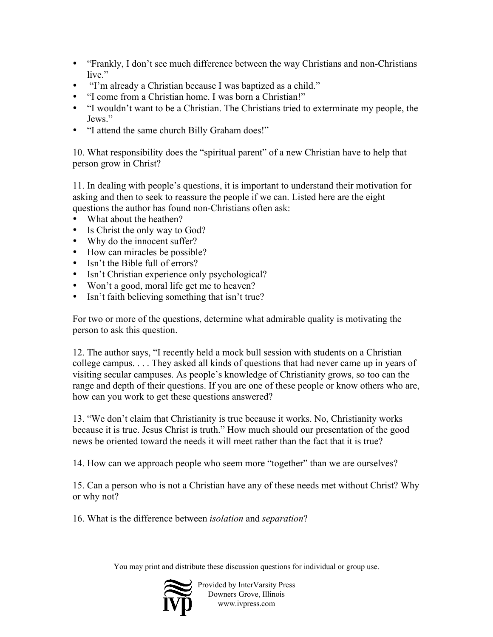"Frankly, I don't see much difference between the way Christians and non-Christians live."

"I'm already a Christian because I was baptized as a child."

"I come from a Christian home. I was born a Christian!"

"I wouldn't want to be a Christian. The Christians tried to exterminate my people, the Jews."

"I attend the same church Billy Graham does!"

10. What responsibility does the "spiritual parent" of a new Christian have to help that person grow in Christ?

11. In dealing with people's questions, it is important to understand their motivation for asking and then to seek to reassure the people if we can. Listed here are the eight questions the author has found non-Christians often ask:

What about the heathen? Is Christ the only way to God? Why do the innocent suffer? How can miracles be possible? Isn't the Bible full of errors? Isn't Christian experience only psychological? Won't a good, moral life get me to heaven? Isn't faith believing something that isn't true?

For two or more of the questions, determine what admirable quality is motivating the person to ask this question.

12. The author says, "I recently held a mock bull session with students on a Christian college campus. . . . They asked all kinds of questions that had never came up in years of visiting secular campuses. As people's knowledge of Christianity grows, so too can the range and depth of their questions. If you are one of these people or know others who are, how can you work to get these questions answered?

13. "We don't claim that Christianity is true because it works. No, Christianity works because it is true. Jesus Christ is truth." How much should our presentation of the good news be oriented toward the needs it will meet rather than the fact that it is true?

14. How can we approach people who seem more "together" than we are ourselves?

15. Can a person who is not a Christian have any of these needs met without Christ? Why or why not?

16. What is the difference between *isolation* and *separation*?

You may print and distribute these discussion questions for individual or group use.



Provided by InterVarsity Press Downers Grove, Illinois www.ivpress.com